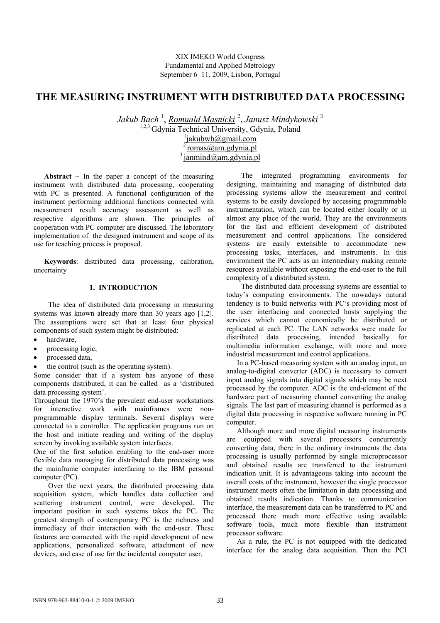XIX IMEKO World Congress Fundamental and Applied Metrology September 6−11, 2009, Lisbon, Portugal

## **THE MEASURING INSTRUMENT WITH DISTRIBUTED DATA PROCESSING**

*Jakub Bach* <sup>1</sup> , *Romuald Masnicki* <sup>2</sup> , *Janusz Mindykowski* <sup>3</sup> <sup>1,2,3</sup> Gdynia Technical University, Gdynia, Poland <sup>1</sup>jakubwb@gmail.com<br><sup>2</sup> romas@am.gdynia.pl  $3$  janmind@am.gdynia.pl

**Abstract** − In the paper a concept of the measuring instrument with distributed data processing, cooperating with PC is presented. A functional configuration of the instrument performing additional functions connected with measurement result accuracy assessment as well as respective algorithms are shown. The principles of cooperation with PC computer are discussed. The laboratory implementation of the designed instrument and scope of its use for teaching process is proposed.

**Keywords**: distributed data processing, calibration, uncertainty

## **1. INTRODUCTION**

The idea of distributed data processing in measuring systems was known already more than 30 years ago [1,2]. The assumptions were set that at least four physical components of such system might be distributed:

- hardware
- processing logic,
- processed data,
- the control (such as the operating system).

Some consider that if a system has anyone of these components distributed, it can be called as a 'distributed data processing system'.

Throughout the 1970's the prevalent end-user workstations for interactive work with mainframes were nonprogrammable display terminals. Several displays were connected to a controller. The application programs run on the host and initiate reading and writing of the display screen by invoking available system interfaces.

One of the first solution enabling to the end-user more flexible data managing for distributed data processing was the mainframe computer interfacing to the IBM personal computer (PC).

Over the next years, the distributed processing data acquisition system, which handles data collection and scattering instrument control, were developed. The important position in such systems takes the PC. The greatest strength of contemporary PC is the richness and immediacy of their interaction with the end-user. These features are connected with the rapid development of new applications, personalized software, attachment of new devices, and ease of use for the incidental computer user.

The integrated programming environments for designing, maintaining and managing of distributed data processing systems allow the measurement and control systems to be easily developed by accessing programmable instrumentation, which can be located either locally or in almost any place of the world. They are the environments for the fast and efficient development of distributed measurement and control applications. The considered systems are easily extensible to accommodate new processing tasks, interfaces, and instruments. In this environment the PC acts as an intermediary making remote resources available without exposing the end-user to the full complexity of a distributed system.

The distributed data processing systems are essential to today's computing environments. The nowadays natural tendency is to build networks with PC's providing most of the user interfacing and connected hosts supplying the services which cannot economically be distributed or replicated at each PC. The LAN networks were made for distributed data processing, intended basically for multimedia information exchange, with more and more industrial measurement and control applications.

In a PC-based measuring system with an analog input, an analog-to-digital converter (ADC) is necessary to convert input analog signals into digital signals which may be next processed by the computer. ADC is the end-element of the hardware part of measuring channel converting the analog signals. The last part of measuring channel is performed as a digital data processing in respective software running in PC computer.

Although more and more digital measuring instruments are equipped with several processors concurrently converting data, there in the ordinary instruments the data processing is usually performed by single microprocessor and obtained results are transferred to the instrument indication unit. It is advantageous taking into account the overall costs of the instrument, however the single processor instrument meets often the limitation in data processing and obtained results indication. Thanks to communication interface, the measurement data can be transferred to PC and processed there much more effective using available software tools, much more flexible than instrument processor software.

As a rule, the PC is not equipped with the dedicated interface for the analog data acquisition. Then the PCI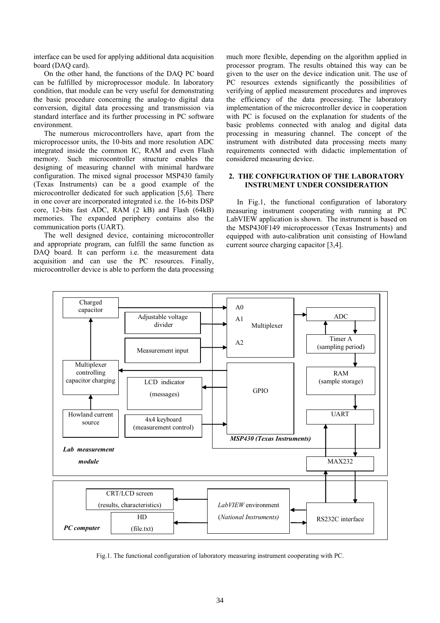interface can be used for applying additional data acquisition board (DAQ card).

On the other hand, the functions of the DAQ PC board can be fulfilled by microprocessor module. In laboratory condition, that module can be very useful for demonstrating the basic procedure concerning the analog-to digital data conversion, digital data processing and transmission via standard interface and its further processing in PC software environment.

The numerous microcontrollers have, apart from the microprocessor units, the 10-bits and more resolution ADC integrated inside the common IC, RAM and even Flash memory. Such microcontroller structure enables the designing of measuring channel with minimal hardware configuration. The mixed signal processor MSP430 family (Texas Instruments) can be a good example of the microcontroller dedicated for such application [5,6]. There in one cover are incorporated integrated i.e. the 16-bits DSP core, 12-bits fast ADC, RAM (2 kB) and Flash (64kB) memories. The expanded periphery contains also the communication ports (UART).

The well designed device, containing microcontroller and appropriate program, can fulfill the same function as DAQ board. It can perform i.e. the measurement data acquisition and can use the PC resources. Finally, microcontroller device is able to perform the data processing

much more flexible, depending on the algorithm applied in processor program. The results obtained this way can be given to the user on the device indication unit. The use of PC resources extends significantly the possibilities of verifying of applied measurement procedures and improves the efficiency of the data processing. The laboratory implementation of the microcontroller device in cooperation with PC is focused on the explanation for students of the basic problems connected with analog and digital data processing in measuring channel. The concept of the instrument with distributed data processing meets many requirements connected with didactic implementation of considered measuring device.

### **2. THE CONFIGURATION OF THE LABORATORY INSTRUMENT UNDER CONSIDERATION**

In Fig.1, the functional configuration of laboratory measuring instrument cooperating with running at PC LabVIEW application is shown. The instrument is based on the MSP430F149 microprocessor (Texas Instruments) and equipped with auto-calibration unit consisting of Howland current source charging capacitor [3,4].



Fig.1. The functional configuration of laboratory measuring instrument cooperating with PC.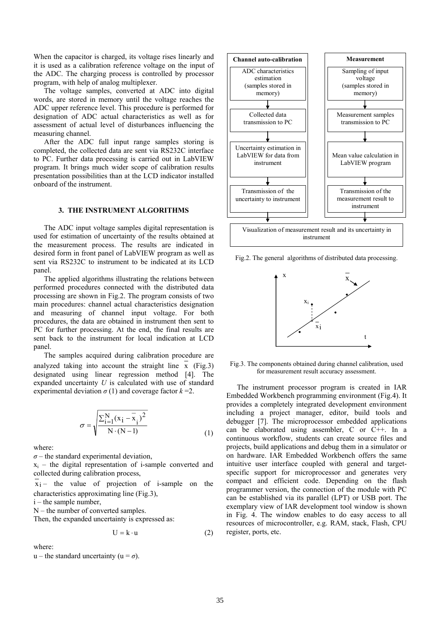When the capacitor is charged, its voltage rises linearly and it is used as a calibration reference voltage on the input of the ADC. The charging process is controlled by processor program, with help of analog multiplexer.

The voltage samples, converted at ADC into digital words, are stored in memory until the voltage reaches the ADC upper reference level. This procedure is performed for designation of ADC actual characteristics as well as for assessment of actual level of disturbances influencing the measuring channel.

After the ADC full input range samples storing is completed, the collected data are sent via RS232C interface to PC. Further data processing is carried out in LabVIEW program. It brings much wider scope of calibration results presentation possibilities than at the LCD indicator installed onboard of the instrument.

### **3. THE INSTRUMENT ALGORITHMS**

The ADC input voltage samples digital representation is used for estimation of uncertainty of the results obtained at the measurement process. The results are indicated in desired form in front panel of LabVIEW program as well as sent via RS232C to instrument to be indicated at its LCD panel.

The applied algorithms illustrating the relations between performed procedures connected with the distributed data processing are shown in Fig.2. The program consists of two main procedures: channel actual characteristics designation and measuring of channel input voltage. For both procedures, the data are obtained in instrument then sent to PC for further processing. At the end, the final results are sent back to the instrument for local indication at LCD panel.

The samples acquired during calibration procedure are analyzed taking into account the straight line x (Fig.3) designated using linear regression method [4]. The expanded uncertainty *U* is calculated with use of standard experimental deviation  $\sigma(1)$  and coverage factor  $k=2$ .

$$
\sigma = \sqrt{\frac{\sum_{i=1}^{N} (x_i - \overline{x}_i)^2}{N \cdot (N-1)}}
$$
(1)

where:

 $\sigma$  – the standard experimental deviation,

 $x_i$  – the digital representation of i-sample converted and collected during calibration process,

 $\overline{x}_i$  – the value of projection of i-sample on the characteristics approximating line (Fig.3),

i – the sample number,

N – the number of converted samples.

Then, the expanded uncertainty is expressed as:

$$
U = k \cdot u \qquad (2) \qquad \text{register, ports, etc.}
$$

where:

u – the standard uncertainty ( $u = \sigma$ ).



Fig.2. The general algorithms of distributed data processing.



Fig.3. The components obtained during channel calibration, used for measurement result accuracy assessment.

The instrument processor program is created in IAR Embedded Workbench programming environment (Fig.4). It provides a completely integrated development environment including a project manager, editor, build tools and debugger [7]. The microprocessor embedded applications can be elaborated using assembler, C or C++. In a continuous workflow, students can create source files and projects, build applications and debug them in a simulator or on hardware. IAR Embedded Workbench offers the same intuitive user interface coupled with general and targetspecific support for microprocessor and generates very compact and efficient code. Depending on the flash programmer version, the connection of the module with PC can be established via its parallel (LPT) or USB port. The exemplary view of IAR development tool window is shown in Fig. 4. The window enables to do easy access to all resources of microcontroller, e.g. RAM, stack, Flash, CPU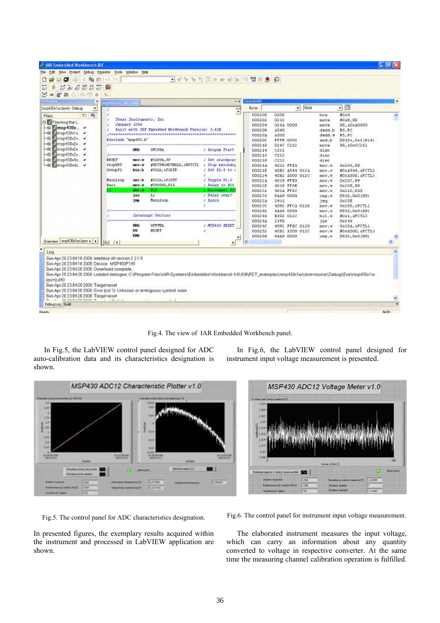| View Project Debug Enulator Tools Window Help<br>Edit<br>477790000000000<br>日本海上海岛河区<br>$\star$<br>どうじきさつ<br>s<br>参<br>2 × 5 品 0 8 二 0<br><b>The</b><br>+ x Disassembly<br><b>Vorkspace</b><br>of Status in the<br>一面<br>$=$ RAM<br>Go to<br>msp430e1 in Jasmi - Debug<br>×<br>$\overline{z}$<br>÷<br>$7 - 20$<br>÷<br>#Dx4<br>000200<br>0200<br>ben<br>ń<br>Files<br>Texas Instruments, Inc.<br>×<br>40x8.3R<br>000202<br>0212<br>mova<br><b>B</b> Floshing the L<br>January 2006<br>z<br>000204<br>026A 0000<br>BR, «OxAODOO<br>trova.<br>- E Cmsp430x v<br>Jurit with JAR Embedded Workbench Version: J.408<br>000208<br>AS40<br>dadd.b<br>RS, PC<br>-E Cmsp430x1x<br>RS, PC<br><b>DO020A</b><br><b>A500</b><br>dadd.w<br><b>- © ©</b> msp430x2x v<br>#include "man430.h"<br>DOD2OC<br>@R15+, Ox1 (R14)<br>FFFE 0001<br>and.b<br>- B Smsp430x2x v<br>000210<br>026C C232<br><b>3R, 40xCC232</b><br>mova.<br>$-EE$ msp $430x2x.$<br><b>DFC00h</b><br>036<br>/ Proges Start<br>000214<br>C232<br>dim t<br>- <b>B</b> msp430x2x. v<br>000216<br>C232<br>$_{\text{dint}}$<br>E Smsp430x4x v<br>#0280h.SP<br>RESET<br>. Set steckpoir<br>mov.w<br>C232<br>000218<br>dint<br>LE Crosp410x4x. v<br>StopMDT<br>#WOTPN4WOTHOLD, & MDTCTL<br>mov.w<br>: Stop wrichdoc<br>4012 FFEA<br>00021A<br>0x206, SR<br>mov.w<br>Setup71<br>bis.b<br>#DOLh.4PiDIR<br>/ Set Pi.0 to c<br>00021E<br>40B2 AS44 012A<br>#OxAS44, &FCTL2<br>trov. u<br>000224<br>40B2 ASO0 012C<br>#OxASOO, &FCTL3<br>$100V, \Psi$<br>#001h.cP10UT<br>Mainloop<br>xor.h<br>: Toggle 21.0<br>832000<br>4019 FFE0<br>0x20C, B9<br>mov.w<br><b>Mait</b><br>#050000,RLS<br>: Delay to 215<br>nov.v<br>DO022E<br>4018 FFDE<br>$0x20$ E, RS<br>mov.w.<br><b>RIS</b><br><b>F</b> Becrement R1:<br>dec.w<br>000232<br>401A FFDC<br>0x210, R10<br>mov.w<br>L1<br>/ Delay over?<br>inz.<br>000236<br><b>9AA9 0000</b><br>BR10, 0x0 (R9)<br>cmp, w<br>1m<br>Mainloop<br>7 Again<br><b>COD23A</b><br>2411<br>0x25E<br>jeg<br>28<br>4092 FFCA 0120<br>000236<br>Ox200, AFCTLI<br>nov.w<br>000242<br><b>4AA9 0000</b><br>@R10,0x0(R9)<br>mov.w<br>Interrupt Vectors<br>000246<br>B392 012C<br>#0x1, &FCTL3<br>bits.9<br>00024A<br>23FD<br>Ox246<br>16e<br>OFFIER<br><b>/ MSP430 RESET</b><br><b>OBOS</b><br>000240<br>OX2OA, &FCTL1<br>4092 FFBC 0128<br>mov.w<br>DV.<br><b>RESKT</b><br>ż<br>000252<br><b>HOXASOD, AFCTLE</b><br>40B2 A500 012C<br>mov.w<br>EXD.<br>@R10,0x0(R9)<br>000258<br><b>9AA9 0000</b><br>cmp.w<br>×<br>۰<br>map430x1xx1aam 4   +<br>$\sum_{i=1}^{n}$<br><b><i><u>Overview</u></i></b><br>e<br>$ 4n $ $ 4 $<br>$\mathbf{H}$<br>Log<br>Sun Apr 20 23:04:18 2008: Interface cill version 2.31.0<br>Sun Apr 20 23:04:18 2008: Device : MSP430F149<br>Sun Apr 20 23 04:20 2008: Download complete.<br>Sun Apr 20 23 04:20 2008: Loaded debuges: CNProgram Files\UAR Systems\EmbeddedWorkberich 4.0\430\FET_examples\msp430x1x0asm-source\Debug\Exe\msp430x1xx<br>fesmit d43<br>Sun Apr 20 23 04:20 2008: Target reset<br>Sun Apr 20 23 04:20 2008: Error (col 1): Unknown or embiguous symbol mein<br>Sun Apr 20 23:04:28 2008: Target reset<br>×<br>$\overline{1}$ An an all and another $\overline{r}$ $\overline{r}$ $\overline{r}$ $\overline{r}$ $\overline{r}$ $\overline{r}$ $\overline{r}$ $\overline{r}$ $\overline{r}$ $\overline{r}$ $\overline{r}$ $\overline{r}$ $\overline{r}$ $\overline{r}$ $\overline{r}$ $\overline{r}$ $\overline{r}$ $\overline{r}$ $\overline{r}$ $\overline{r}$ $\overline{r}$<br>Debugtog Build | A IAR Embedded Workbench DE |  |  |  |  |  |  |  | $ \mathbf{E}$ $\mathbf{X}$ |
|--------------------------------------------------------------------------------------------------------------------------------------------------------------------------------------------------------------------------------------------------------------------------------------------------------------------------------------------------------------------------------------------------------------------------------------------------------------------------------------------------------------------------------------------------------------------------------------------------------------------------------------------------------------------------------------------------------------------------------------------------------------------------------------------------------------------------------------------------------------------------------------------------------------------------------------------------------------------------------------------------------------------------------------------------------------------------------------------------------------------------------------------------------------------------------------------------------------------------------------------------------------------------------------------------------------------------------------------------------------------------------------------------------------------------------------------------------------------------------------------------------------------------------------------------------------------------------------------------------------------------------------------------------------------------------------------------------------------------------------------------------------------------------------------------------------------------------------------------------------------------------------------------------------------------------------------------------------------------------------------------------------------------------------------------------------------------------------------------------------------------------------------------------------------------------------------------------------------------------------------------------------------------------------------------------------------------------------------------------------------------------------------------------------------------------------------------------------------------------------------------------------------------------------------------------------------------------------------------------------------------------------------------------------------------------------------------------------------------------------------------------------------------------------------------------------------------------------------------------------------------------------------------------------------------------------------------------------------------------------------------------------------------------------------------------------------------------------------------------------------------------------------------------------------------------------------------------------------------------------------------------------------------------------------------------------------------------------------------------------------------------------------------------------------------------------------------------------------------------------------------------|-----------------------------|--|--|--|--|--|--|--|----------------------------|
|                                                                                                                                                                                                                                                                                                                                                                                                                                                                                                                                                                                                                                                                                                                                                                                                                                                                                                                                                                                                                                                                                                                                                                                                                                                                                                                                                                                                                                                                                                                                                                                                                                                                                                                                                                                                                                                                                                                                                                                                                                                                                                                                                                                                                                                                                                                                                                                                                                                                                                                                                                                                                                                                                                                                                                                                                                                                                                                                                                                                                                                                                                                                                                                                                                                                                                                                                                                                                                                                                                        |                             |  |  |  |  |  |  |  |                            |
|                                                                                                                                                                                                                                                                                                                                                                                                                                                                                                                                                                                                                                                                                                                                                                                                                                                                                                                                                                                                                                                                                                                                                                                                                                                                                                                                                                                                                                                                                                                                                                                                                                                                                                                                                                                                                                                                                                                                                                                                                                                                                                                                                                                                                                                                                                                                                                                                                                                                                                                                                                                                                                                                                                                                                                                                                                                                                                                                                                                                                                                                                                                                                                                                                                                                                                                                                                                                                                                                                                        | D                           |  |  |  |  |  |  |  |                            |
|                                                                                                                                                                                                                                                                                                                                                                                                                                                                                                                                                                                                                                                                                                                                                                                                                                                                                                                                                                                                                                                                                                                                                                                                                                                                                                                                                                                                                                                                                                                                                                                                                                                                                                                                                                                                                                                                                                                                                                                                                                                                                                                                                                                                                                                                                                                                                                                                                                                                                                                                                                                                                                                                                                                                                                                                                                                                                                                                                                                                                                                                                                                                                                                                                                                                                                                                                                                                                                                                                                        |                             |  |  |  |  |  |  |  |                            |
|                                                                                                                                                                                                                                                                                                                                                                                                                                                                                                                                                                                                                                                                                                                                                                                                                                                                                                                                                                                                                                                                                                                                                                                                                                                                                                                                                                                                                                                                                                                                                                                                                                                                                                                                                                                                                                                                                                                                                                                                                                                                                                                                                                                                                                                                                                                                                                                                                                                                                                                                                                                                                                                                                                                                                                                                                                                                                                                                                                                                                                                                                                                                                                                                                                                                                                                                                                                                                                                                                                        |                             |  |  |  |  |  |  |  |                            |
|                                                                                                                                                                                                                                                                                                                                                                                                                                                                                                                                                                                                                                                                                                                                                                                                                                                                                                                                                                                                                                                                                                                                                                                                                                                                                                                                                                                                                                                                                                                                                                                                                                                                                                                                                                                                                                                                                                                                                                                                                                                                                                                                                                                                                                                                                                                                                                                                                                                                                                                                                                                                                                                                                                                                                                                                                                                                                                                                                                                                                                                                                                                                                                                                                                                                                                                                                                                                                                                                                                        |                             |  |  |  |  |  |  |  |                            |
|                                                                                                                                                                                                                                                                                                                                                                                                                                                                                                                                                                                                                                                                                                                                                                                                                                                                                                                                                                                                                                                                                                                                                                                                                                                                                                                                                                                                                                                                                                                                                                                                                                                                                                                                                                                                                                                                                                                                                                                                                                                                                                                                                                                                                                                                                                                                                                                                                                                                                                                                                                                                                                                                                                                                                                                                                                                                                                                                                                                                                                                                                                                                                                                                                                                                                                                                                                                                                                                                                                        |                             |  |  |  |  |  |  |  |                            |
|                                                                                                                                                                                                                                                                                                                                                                                                                                                                                                                                                                                                                                                                                                                                                                                                                                                                                                                                                                                                                                                                                                                                                                                                                                                                                                                                                                                                                                                                                                                                                                                                                                                                                                                                                                                                                                                                                                                                                                                                                                                                                                                                                                                                                                                                                                                                                                                                                                                                                                                                                                                                                                                                                                                                                                                                                                                                                                                                                                                                                                                                                                                                                                                                                                                                                                                                                                                                                                                                                                        |                             |  |  |  |  |  |  |  |                            |
|                                                                                                                                                                                                                                                                                                                                                                                                                                                                                                                                                                                                                                                                                                                                                                                                                                                                                                                                                                                                                                                                                                                                                                                                                                                                                                                                                                                                                                                                                                                                                                                                                                                                                                                                                                                                                                                                                                                                                                                                                                                                                                                                                                                                                                                                                                                                                                                                                                                                                                                                                                                                                                                                                                                                                                                                                                                                                                                                                                                                                                                                                                                                                                                                                                                                                                                                                                                                                                                                                                        |                             |  |  |  |  |  |  |  |                            |
|                                                                                                                                                                                                                                                                                                                                                                                                                                                                                                                                                                                                                                                                                                                                                                                                                                                                                                                                                                                                                                                                                                                                                                                                                                                                                                                                                                                                                                                                                                                                                                                                                                                                                                                                                                                                                                                                                                                                                                                                                                                                                                                                                                                                                                                                                                                                                                                                                                                                                                                                                                                                                                                                                                                                                                                                                                                                                                                                                                                                                                                                                                                                                                                                                                                                                                                                                                                                                                                                                                        |                             |  |  |  |  |  |  |  |                            |
|                                                                                                                                                                                                                                                                                                                                                                                                                                                                                                                                                                                                                                                                                                                                                                                                                                                                                                                                                                                                                                                                                                                                                                                                                                                                                                                                                                                                                                                                                                                                                                                                                                                                                                                                                                                                                                                                                                                                                                                                                                                                                                                                                                                                                                                                                                                                                                                                                                                                                                                                                                                                                                                                                                                                                                                                                                                                                                                                                                                                                                                                                                                                                                                                                                                                                                                                                                                                                                                                                                        |                             |  |  |  |  |  |  |  |                            |
|                                                                                                                                                                                                                                                                                                                                                                                                                                                                                                                                                                                                                                                                                                                                                                                                                                                                                                                                                                                                                                                                                                                                                                                                                                                                                                                                                                                                                                                                                                                                                                                                                                                                                                                                                                                                                                                                                                                                                                                                                                                                                                                                                                                                                                                                                                                                                                                                                                                                                                                                                                                                                                                                                                                                                                                                                                                                                                                                                                                                                                                                                                                                                                                                                                                                                                                                                                                                                                                                                                        |                             |  |  |  |  |  |  |  |                            |
|                                                                                                                                                                                                                                                                                                                                                                                                                                                                                                                                                                                                                                                                                                                                                                                                                                                                                                                                                                                                                                                                                                                                                                                                                                                                                                                                                                                                                                                                                                                                                                                                                                                                                                                                                                                                                                                                                                                                                                                                                                                                                                                                                                                                                                                                                                                                                                                                                                                                                                                                                                                                                                                                                                                                                                                                                                                                                                                                                                                                                                                                                                                                                                                                                                                                                                                                                                                                                                                                                                        |                             |  |  |  |  |  |  |  |                            |
|                                                                                                                                                                                                                                                                                                                                                                                                                                                                                                                                                                                                                                                                                                                                                                                                                                                                                                                                                                                                                                                                                                                                                                                                                                                                                                                                                                                                                                                                                                                                                                                                                                                                                                                                                                                                                                                                                                                                                                                                                                                                                                                                                                                                                                                                                                                                                                                                                                                                                                                                                                                                                                                                                                                                                                                                                                                                                                                                                                                                                                                                                                                                                                                                                                                                                                                                                                                                                                                                                                        |                             |  |  |  |  |  |  |  |                            |
|                                                                                                                                                                                                                                                                                                                                                                                                                                                                                                                                                                                                                                                                                                                                                                                                                                                                                                                                                                                                                                                                                                                                                                                                                                                                                                                                                                                                                                                                                                                                                                                                                                                                                                                                                                                                                                                                                                                                                                                                                                                                                                                                                                                                                                                                                                                                                                                                                                                                                                                                                                                                                                                                                                                                                                                                                                                                                                                                                                                                                                                                                                                                                                                                                                                                                                                                                                                                                                                                                                        |                             |  |  |  |  |  |  |  |                            |
|                                                                                                                                                                                                                                                                                                                                                                                                                                                                                                                                                                                                                                                                                                                                                                                                                                                                                                                                                                                                                                                                                                                                                                                                                                                                                                                                                                                                                                                                                                                                                                                                                                                                                                                                                                                                                                                                                                                                                                                                                                                                                                                                                                                                                                                                                                                                                                                                                                                                                                                                                                                                                                                                                                                                                                                                                                                                                                                                                                                                                                                                                                                                                                                                                                                                                                                                                                                                                                                                                                        |                             |  |  |  |  |  |  |  |                            |
|                                                                                                                                                                                                                                                                                                                                                                                                                                                                                                                                                                                                                                                                                                                                                                                                                                                                                                                                                                                                                                                                                                                                                                                                                                                                                                                                                                                                                                                                                                                                                                                                                                                                                                                                                                                                                                                                                                                                                                                                                                                                                                                                                                                                                                                                                                                                                                                                                                                                                                                                                                                                                                                                                                                                                                                                                                                                                                                                                                                                                                                                                                                                                                                                                                                                                                                                                                                                                                                                                                        |                             |  |  |  |  |  |  |  |                            |
|                                                                                                                                                                                                                                                                                                                                                                                                                                                                                                                                                                                                                                                                                                                                                                                                                                                                                                                                                                                                                                                                                                                                                                                                                                                                                                                                                                                                                                                                                                                                                                                                                                                                                                                                                                                                                                                                                                                                                                                                                                                                                                                                                                                                                                                                                                                                                                                                                                                                                                                                                                                                                                                                                                                                                                                                                                                                                                                                                                                                                                                                                                                                                                                                                                                                                                                                                                                                                                                                                                        |                             |  |  |  |  |  |  |  |                            |
|                                                                                                                                                                                                                                                                                                                                                                                                                                                                                                                                                                                                                                                                                                                                                                                                                                                                                                                                                                                                                                                                                                                                                                                                                                                                                                                                                                                                                                                                                                                                                                                                                                                                                                                                                                                                                                                                                                                                                                                                                                                                                                                                                                                                                                                                                                                                                                                                                                                                                                                                                                                                                                                                                                                                                                                                                                                                                                                                                                                                                                                                                                                                                                                                                                                                                                                                                                                                                                                                                                        |                             |  |  |  |  |  |  |  |                            |
|                                                                                                                                                                                                                                                                                                                                                                                                                                                                                                                                                                                                                                                                                                                                                                                                                                                                                                                                                                                                                                                                                                                                                                                                                                                                                                                                                                                                                                                                                                                                                                                                                                                                                                                                                                                                                                                                                                                                                                                                                                                                                                                                                                                                                                                                                                                                                                                                                                                                                                                                                                                                                                                                                                                                                                                                                                                                                                                                                                                                                                                                                                                                                                                                                                                                                                                                                                                                                                                                                                        |                             |  |  |  |  |  |  |  |                            |
|                                                                                                                                                                                                                                                                                                                                                                                                                                                                                                                                                                                                                                                                                                                                                                                                                                                                                                                                                                                                                                                                                                                                                                                                                                                                                                                                                                                                                                                                                                                                                                                                                                                                                                                                                                                                                                                                                                                                                                                                                                                                                                                                                                                                                                                                                                                                                                                                                                                                                                                                                                                                                                                                                                                                                                                                                                                                                                                                                                                                                                                                                                                                                                                                                                                                                                                                                                                                                                                                                                        |                             |  |  |  |  |  |  |  |                            |
|                                                                                                                                                                                                                                                                                                                                                                                                                                                                                                                                                                                                                                                                                                                                                                                                                                                                                                                                                                                                                                                                                                                                                                                                                                                                                                                                                                                                                                                                                                                                                                                                                                                                                                                                                                                                                                                                                                                                                                                                                                                                                                                                                                                                                                                                                                                                                                                                                                                                                                                                                                                                                                                                                                                                                                                                                                                                                                                                                                                                                                                                                                                                                                                                                                                                                                                                                                                                                                                                                                        |                             |  |  |  |  |  |  |  |                            |
|                                                                                                                                                                                                                                                                                                                                                                                                                                                                                                                                                                                                                                                                                                                                                                                                                                                                                                                                                                                                                                                                                                                                                                                                                                                                                                                                                                                                                                                                                                                                                                                                                                                                                                                                                                                                                                                                                                                                                                                                                                                                                                                                                                                                                                                                                                                                                                                                                                                                                                                                                                                                                                                                                                                                                                                                                                                                                                                                                                                                                                                                                                                                                                                                                                                                                                                                                                                                                                                                                                        |                             |  |  |  |  |  |  |  |                            |
|                                                                                                                                                                                                                                                                                                                                                                                                                                                                                                                                                                                                                                                                                                                                                                                                                                                                                                                                                                                                                                                                                                                                                                                                                                                                                                                                                                                                                                                                                                                                                                                                                                                                                                                                                                                                                                                                                                                                                                                                                                                                                                                                                                                                                                                                                                                                                                                                                                                                                                                                                                                                                                                                                                                                                                                                                                                                                                                                                                                                                                                                                                                                                                                                                                                                                                                                                                                                                                                                                                        |                             |  |  |  |  |  |  |  |                            |
|                                                                                                                                                                                                                                                                                                                                                                                                                                                                                                                                                                                                                                                                                                                                                                                                                                                                                                                                                                                                                                                                                                                                                                                                                                                                                                                                                                                                                                                                                                                                                                                                                                                                                                                                                                                                                                                                                                                                                                                                                                                                                                                                                                                                                                                                                                                                                                                                                                                                                                                                                                                                                                                                                                                                                                                                                                                                                                                                                                                                                                                                                                                                                                                                                                                                                                                                                                                                                                                                                                        |                             |  |  |  |  |  |  |  |                            |
|                                                                                                                                                                                                                                                                                                                                                                                                                                                                                                                                                                                                                                                                                                                                                                                                                                                                                                                                                                                                                                                                                                                                                                                                                                                                                                                                                                                                                                                                                                                                                                                                                                                                                                                                                                                                                                                                                                                                                                                                                                                                                                                                                                                                                                                                                                                                                                                                                                                                                                                                                                                                                                                                                                                                                                                                                                                                                                                                                                                                                                                                                                                                                                                                                                                                                                                                                                                                                                                                                                        |                             |  |  |  |  |  |  |  |                            |
|                                                                                                                                                                                                                                                                                                                                                                                                                                                                                                                                                                                                                                                                                                                                                                                                                                                                                                                                                                                                                                                                                                                                                                                                                                                                                                                                                                                                                                                                                                                                                                                                                                                                                                                                                                                                                                                                                                                                                                                                                                                                                                                                                                                                                                                                                                                                                                                                                                                                                                                                                                                                                                                                                                                                                                                                                                                                                                                                                                                                                                                                                                                                                                                                                                                                                                                                                                                                                                                                                                        |                             |  |  |  |  |  |  |  |                            |
|                                                                                                                                                                                                                                                                                                                                                                                                                                                                                                                                                                                                                                                                                                                                                                                                                                                                                                                                                                                                                                                                                                                                                                                                                                                                                                                                                                                                                                                                                                                                                                                                                                                                                                                                                                                                                                                                                                                                                                                                                                                                                                                                                                                                                                                                                                                                                                                                                                                                                                                                                                                                                                                                                                                                                                                                                                                                                                                                                                                                                                                                                                                                                                                                                                                                                                                                                                                                                                                                                                        |                             |  |  |  |  |  |  |  |                            |
|                                                                                                                                                                                                                                                                                                                                                                                                                                                                                                                                                                                                                                                                                                                                                                                                                                                                                                                                                                                                                                                                                                                                                                                                                                                                                                                                                                                                                                                                                                                                                                                                                                                                                                                                                                                                                                                                                                                                                                                                                                                                                                                                                                                                                                                                                                                                                                                                                                                                                                                                                                                                                                                                                                                                                                                                                                                                                                                                                                                                                                                                                                                                                                                                                                                                                                                                                                                                                                                                                                        |                             |  |  |  |  |  |  |  |                            |
|                                                                                                                                                                                                                                                                                                                                                                                                                                                                                                                                                                                                                                                                                                                                                                                                                                                                                                                                                                                                                                                                                                                                                                                                                                                                                                                                                                                                                                                                                                                                                                                                                                                                                                                                                                                                                                                                                                                                                                                                                                                                                                                                                                                                                                                                                                                                                                                                                                                                                                                                                                                                                                                                                                                                                                                                                                                                                                                                                                                                                                                                                                                                                                                                                                                                                                                                                                                                                                                                                                        |                             |  |  |  |  |  |  |  |                            |
|                                                                                                                                                                                                                                                                                                                                                                                                                                                                                                                                                                                                                                                                                                                                                                                                                                                                                                                                                                                                                                                                                                                                                                                                                                                                                                                                                                                                                                                                                                                                                                                                                                                                                                                                                                                                                                                                                                                                                                                                                                                                                                                                                                                                                                                                                                                                                                                                                                                                                                                                                                                                                                                                                                                                                                                                                                                                                                                                                                                                                                                                                                                                                                                                                                                                                                                                                                                                                                                                                                        |                             |  |  |  |  |  |  |  |                            |
|                                                                                                                                                                                                                                                                                                                                                                                                                                                                                                                                                                                                                                                                                                                                                                                                                                                                                                                                                                                                                                                                                                                                                                                                                                                                                                                                                                                                                                                                                                                                                                                                                                                                                                                                                                                                                                                                                                                                                                                                                                                                                                                                                                                                                                                                                                                                                                                                                                                                                                                                                                                                                                                                                                                                                                                                                                                                                                                                                                                                                                                                                                                                                                                                                                                                                                                                                                                                                                                                                                        |                             |  |  |  |  |  |  |  |                            |
|                                                                                                                                                                                                                                                                                                                                                                                                                                                                                                                                                                                                                                                                                                                                                                                                                                                                                                                                                                                                                                                                                                                                                                                                                                                                                                                                                                                                                                                                                                                                                                                                                                                                                                                                                                                                                                                                                                                                                                                                                                                                                                                                                                                                                                                                                                                                                                                                                                                                                                                                                                                                                                                                                                                                                                                                                                                                                                                                                                                                                                                                                                                                                                                                                                                                                                                                                                                                                                                                                                        |                             |  |  |  |  |  |  |  |                            |
|                                                                                                                                                                                                                                                                                                                                                                                                                                                                                                                                                                                                                                                                                                                                                                                                                                                                                                                                                                                                                                                                                                                                                                                                                                                                                                                                                                                                                                                                                                                                                                                                                                                                                                                                                                                                                                                                                                                                                                                                                                                                                                                                                                                                                                                                                                                                                                                                                                                                                                                                                                                                                                                                                                                                                                                                                                                                                                                                                                                                                                                                                                                                                                                                                                                                                                                                                                                                                                                                                                        |                             |  |  |  |  |  |  |  |                            |
|                                                                                                                                                                                                                                                                                                                                                                                                                                                                                                                                                                                                                                                                                                                                                                                                                                                                                                                                                                                                                                                                                                                                                                                                                                                                                                                                                                                                                                                                                                                                                                                                                                                                                                                                                                                                                                                                                                                                                                                                                                                                                                                                                                                                                                                                                                                                                                                                                                                                                                                                                                                                                                                                                                                                                                                                                                                                                                                                                                                                                                                                                                                                                                                                                                                                                                                                                                                                                                                                                                        |                             |  |  |  |  |  |  |  |                            |
|                                                                                                                                                                                                                                                                                                                                                                                                                                                                                                                                                                                                                                                                                                                                                                                                                                                                                                                                                                                                                                                                                                                                                                                                                                                                                                                                                                                                                                                                                                                                                                                                                                                                                                                                                                                                                                                                                                                                                                                                                                                                                                                                                                                                                                                                                                                                                                                                                                                                                                                                                                                                                                                                                                                                                                                                                                                                                                                                                                                                                                                                                                                                                                                                                                                                                                                                                                                                                                                                                                        |                             |  |  |  |  |  |  |  |                            |
|                                                                                                                                                                                                                                                                                                                                                                                                                                                                                                                                                                                                                                                                                                                                                                                                                                                                                                                                                                                                                                                                                                                                                                                                                                                                                                                                                                                                                                                                                                                                                                                                                                                                                                                                                                                                                                                                                                                                                                                                                                                                                                                                                                                                                                                                                                                                                                                                                                                                                                                                                                                                                                                                                                                                                                                                                                                                                                                                                                                                                                                                                                                                                                                                                                                                                                                                                                                                                                                                                                        |                             |  |  |  |  |  |  |  |                            |
|                                                                                                                                                                                                                                                                                                                                                                                                                                                                                                                                                                                                                                                                                                                                                                                                                                                                                                                                                                                                                                                                                                                                                                                                                                                                                                                                                                                                                                                                                                                                                                                                                                                                                                                                                                                                                                                                                                                                                                                                                                                                                                                                                                                                                                                                                                                                                                                                                                                                                                                                                                                                                                                                                                                                                                                                                                                                                                                                                                                                                                                                                                                                                                                                                                                                                                                                                                                                                                                                                                        |                             |  |  |  |  |  |  |  |                            |
|                                                                                                                                                                                                                                                                                                                                                                                                                                                                                                                                                                                                                                                                                                                                                                                                                                                                                                                                                                                                                                                                                                                                                                                                                                                                                                                                                                                                                                                                                                                                                                                                                                                                                                                                                                                                                                                                                                                                                                                                                                                                                                                                                                                                                                                                                                                                                                                                                                                                                                                                                                                                                                                                                                                                                                                                                                                                                                                                                                                                                                                                                                                                                                                                                                                                                                                                                                                                                                                                                                        |                             |  |  |  |  |  |  |  |                            |
|                                                                                                                                                                                                                                                                                                                                                                                                                                                                                                                                                                                                                                                                                                                                                                                                                                                                                                                                                                                                                                                                                                                                                                                                                                                                                                                                                                                                                                                                                                                                                                                                                                                                                                                                                                                                                                                                                                                                                                                                                                                                                                                                                                                                                                                                                                                                                                                                                                                                                                                                                                                                                                                                                                                                                                                                                                                                                                                                                                                                                                                                                                                                                                                                                                                                                                                                                                                                                                                                                                        |                             |  |  |  |  |  |  |  |                            |
|                                                                                                                                                                                                                                                                                                                                                                                                                                                                                                                                                                                                                                                                                                                                                                                                                                                                                                                                                                                                                                                                                                                                                                                                                                                                                                                                                                                                                                                                                                                                                                                                                                                                                                                                                                                                                                                                                                                                                                                                                                                                                                                                                                                                                                                                                                                                                                                                                                                                                                                                                                                                                                                                                                                                                                                                                                                                                                                                                                                                                                                                                                                                                                                                                                                                                                                                                                                                                                                                                                        |                             |  |  |  |  |  |  |  |                            |
|                                                                                                                                                                                                                                                                                                                                                                                                                                                                                                                                                                                                                                                                                                                                                                                                                                                                                                                                                                                                                                                                                                                                                                                                                                                                                                                                                                                                                                                                                                                                                                                                                                                                                                                                                                                                                                                                                                                                                                                                                                                                                                                                                                                                                                                                                                                                                                                                                                                                                                                                                                                                                                                                                                                                                                                                                                                                                                                                                                                                                                                                                                                                                                                                                                                                                                                                                                                                                                                                                                        |                             |  |  |  |  |  |  |  |                            |
|                                                                                                                                                                                                                                                                                                                                                                                                                                                                                                                                                                                                                                                                                                                                                                                                                                                                                                                                                                                                                                                                                                                                                                                                                                                                                                                                                                                                                                                                                                                                                                                                                                                                                                                                                                                                                                                                                                                                                                                                                                                                                                                                                                                                                                                                                                                                                                                                                                                                                                                                                                                                                                                                                                                                                                                                                                                                                                                                                                                                                                                                                                                                                                                                                                                                                                                                                                                                                                                                                                        |                             |  |  |  |  |  |  |  |                            |
|                                                                                                                                                                                                                                                                                                                                                                                                                                                                                                                                                                                                                                                                                                                                                                                                                                                                                                                                                                                                                                                                                                                                                                                                                                                                                                                                                                                                                                                                                                                                                                                                                                                                                                                                                                                                                                                                                                                                                                                                                                                                                                                                                                                                                                                                                                                                                                                                                                                                                                                                                                                                                                                                                                                                                                                                                                                                                                                                                                                                                                                                                                                                                                                                                                                                                                                                                                                                                                                                                                        |                             |  |  |  |  |  |  |  |                            |
|                                                                                                                                                                                                                                                                                                                                                                                                                                                                                                                                                                                                                                                                                                                                                                                                                                                                                                                                                                                                                                                                                                                                                                                                                                                                                                                                                                                                                                                                                                                                                                                                                                                                                                                                                                                                                                                                                                                                                                                                                                                                                                                                                                                                                                                                                                                                                                                                                                                                                                                                                                                                                                                                                                                                                                                                                                                                                                                                                                                                                                                                                                                                                                                                                                                                                                                                                                                                                                                                                                        |                             |  |  |  |  |  |  |  |                            |

Fig.4. The view of IAR Embedded Workbench panel.

In Fig.5, the LabVIEW control panel designed for ADC auto-calibration data and its characteristics designation is shown.

In Fig.6, the LabVIEW control panel designed for instrument input voltage measurement is presented.



In presented figures, the exemplary results acquired within the instrument and processed in LabVIEW application are shown.

# Fig.5. The control panel for ADC characteristics designation. Fig.6. The control panel for instrument input voltage measurement.

The elaborated instrument measures the input voltage, which can carry an information about any quantity converted to voltage in respective converter. At the same time the measuring channel calibration operation is fulfilled.